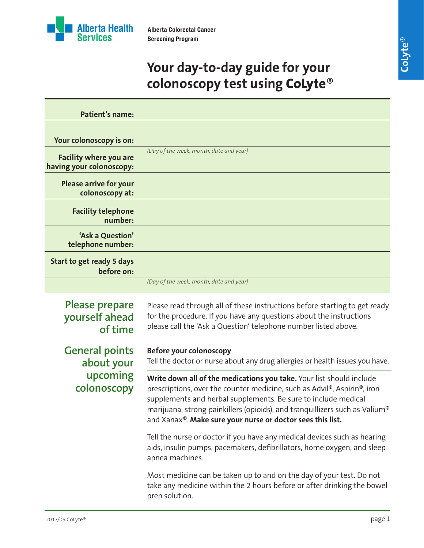

# **Your day-to-day guide for your colonoscopy test using CoLyte**®

| <b>Patient's name:</b>                                                               |                                                                                                                                                                                                                                                                                                                                                                 |
|--------------------------------------------------------------------------------------|-----------------------------------------------------------------------------------------------------------------------------------------------------------------------------------------------------------------------------------------------------------------------------------------------------------------------------------------------------------------|
| Your colonoscopy is on:<br><b>Facility where you are</b><br>having your colonoscopy: | (Day of the week, month, date and year)                                                                                                                                                                                                                                                                                                                         |
| <b>Please arrive for your</b><br>colonoscopy at:                                     |                                                                                                                                                                                                                                                                                                                                                                 |
| <b>Facility telephone</b><br>number:                                                 |                                                                                                                                                                                                                                                                                                                                                                 |
| 'Ask a Question'<br>telephone number:                                                |                                                                                                                                                                                                                                                                                                                                                                 |
| Start to get ready 5 days<br>before on:                                              |                                                                                                                                                                                                                                                                                                                                                                 |
|                                                                                      | (Day of the week, month, date and year)                                                                                                                                                                                                                                                                                                                         |
| Please prepare<br>yourself ahead<br>of time                                          | Please read through all of these instructions before starting to get ready<br>for the procedure. If you have any questions about the instructions<br>please call the 'Ask a Question' telephone number listed above.                                                                                                                                            |
| <b>General points</b><br>about your<br>upcoming<br>colonoscopy                       | Before your colonoscopy<br>Tell the doctor or nurse about any drug allergies or health issues you have.                                                                                                                                                                                                                                                         |
|                                                                                      | Write down all of the medications you take. Your list should include<br>prescriptions, over the counter medicine, such as Advil®, Aspirin®, iron<br>supplements and herbal supplements. Be sure to include medical<br>marijuana, strong painkillers (opioids), and tranquillizers such as Valium®<br>and Xanax®. Make sure your nurse or doctor sees this list. |
|                                                                                      | Tell the nurse or doctor if you have any medical devices such as hearing<br>aids, insulin pumps, pacemakers, defibrillators, home oxygen, and sleep<br>apnea machines.                                                                                                                                                                                          |
|                                                                                      | Most medicine can be taken up to and on the day of your test. Do not<br>take any medicine within the 2 hours before or after drinking the bowel<br>prep solution.                                                                                                                                                                                               |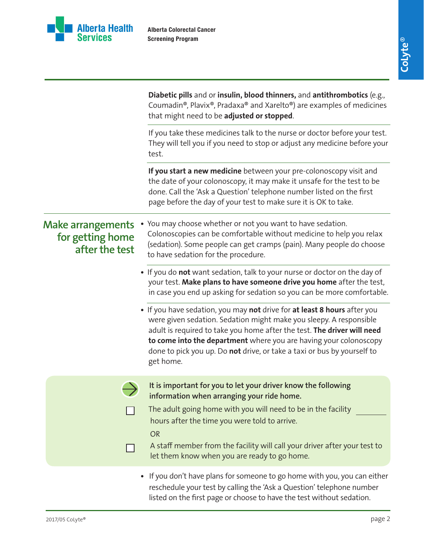

|                                                                | Diabetic pills and or insulin, blood thinners, and antithrombotics (e.g.,<br>Coumadin®, Plavix®, Pradaxa® and Xarelto®) are examples of medicines<br>that might need to be adjusted or stopped.                                                                                                                                                                                        |  |
|----------------------------------------------------------------|----------------------------------------------------------------------------------------------------------------------------------------------------------------------------------------------------------------------------------------------------------------------------------------------------------------------------------------------------------------------------------------|--|
|                                                                | If you take these medicines talk to the nurse or doctor before your test.<br>They will tell you if you need to stop or adjust any medicine before your<br>test.                                                                                                                                                                                                                        |  |
|                                                                | If you start a new medicine between your pre-colonoscopy visit and<br>the date of your colonoscopy, it may make it unsafe for the test to be<br>done. Call the 'Ask a Question' telephone number listed on the first<br>page before the day of your test to make sure it is OK to take.                                                                                                |  |
| <b>Make arrangements</b><br>for getting home<br>after the test | • You may choose whether or not you want to have sedation.<br>Colonoscopies can be comfortable without medicine to help you relax<br>(sedation). Some people can get cramps (pain). Many people do choose<br>to have sedation for the procedure.                                                                                                                                       |  |
|                                                                | • If you do not want sedation, talk to your nurse or doctor on the day of<br>your test. Make plans to have someone drive you home after the test,<br>in case you end up asking for sedation so you can be more comfortable.                                                                                                                                                            |  |
|                                                                | • If you have sedation, you may not drive for at least 8 hours after you<br>were given sedation. Sedation might make you sleepy. A responsible<br>adult is required to take you home after the test. The driver will need<br>to come into the department where you are having your colonoscopy<br>done to pick you up. Do not drive, or take a taxi or bus by yourself to<br>get home. |  |
|                                                                | It is important for you to let your driver know the following<br>information when arranging your ride home.<br>The adult going home with you will need to be in the facility<br>hours after the time you were told to arrive.<br><b>OR</b><br>A staff member from the facility will call your driver after your test to<br>let them know when you are ready to go home.                |  |
|                                                                | If you don't have plans for someone to go home with you, you can either<br>$\bullet$<br>reschedule your test by calling the 'Ask a Question' telephone number<br>listed on the first page or choose to have the test without sedation.                                                                                                                                                 |  |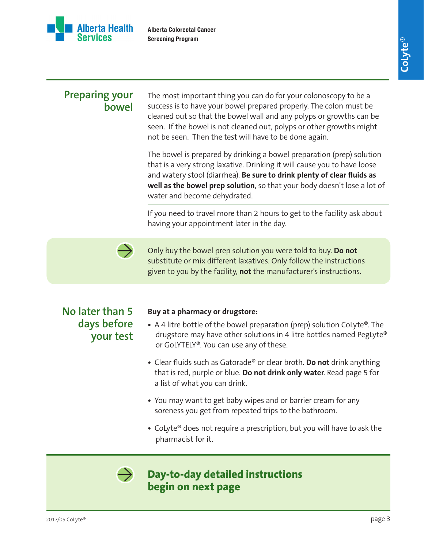

### **Preparing your bowel**

The most important thing you can do for your colonoscopy to be a success is to have your bowel prepared properly. The colon must be cleaned out so that the bowel wall and any polyps or growths can be seen. If the bowel is not cleaned out, polyps or other growths might not be seen. Then the test will have to be done again.

The bowel is prepared by drinking a bowel preparation (prep) solution that is a very strong laxative. Drinking it will cause you to have loose and watery stool (diarrhea). **Be sure to drink plenty of clear fluids as well as the bowel prep solution**, so that your body doesn't lose a lot of water and become dehydrated.

If you need to travel more than 2 hours to get to the facility ask about having your appointment later in the day.



Only buy the bowel prep solution you were told to buy. **Do not** substitute or mix different laxatives. Only follow the instructions given to you by the facility, **not** the manufacturer's instructions.

#### **No later than 5 days before your test**

#### **Buy at a pharmacy or drugstore:**

- **•** A 4 litre bottle of the bowel preparation (prep) solution CoLyte®. The drugstore may have other solutions in 4 litre bottles named PegLyte® or GoLYTELY®. You can use any of these.
- **•** Clear fluids such as Gatorade® or clear broth. **Do not** drink anything that is red, purple or blue. **Do not drink only water**. Read page 5 for a list of what you can drink.
- **•** You may want to get baby wipes and or barrier cream for any soreness you get from repeated trips to the bathroom.
- **•** CoLyte® does not require a prescription, but you will have to ask the pharmacist for it.



### **Day-to-day detailed instructions begin on next page**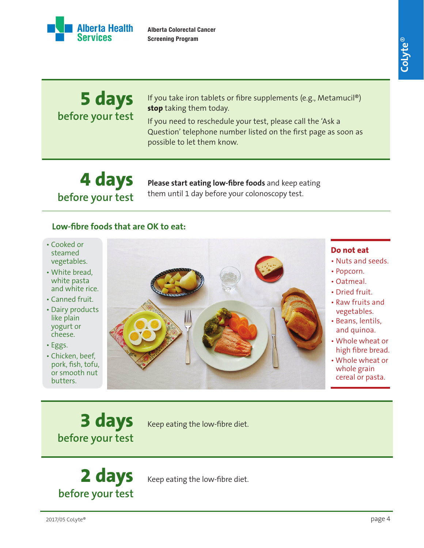**CoLyte** ®



**Alberta Colorectal Cancer Screening Program**

# **5 days before your test**

If you take iron tablets or fibre supplements (e.g., Metamucil®) **stop** taking them today.

If you need to reschedule your test, please call the 'Ask a Question' telephone number listed on the first page as soon as possible to let them know.

# **4 days before your test**

**Please start eating low-fibre foods** and keep eating them until 1 day before your colonoscopy test.

#### **Low-fibre foods that are OK to eat:**

- Cooked or steamed vegetables.
- White bread, white pasta and white rice.
- Canned fruit.
- Dairy products like plain yogurt or cheese.
- Eggs.
- Chicken, beef, pork, fish, tofu, or smooth nut butters.



#### **Do not eat**

- Nuts and seeds.
- Popcorn.
- Oatmeal.
- Dried fruit.
- Raw fruits and vegetables.
- Beans, lentils, and quinoa.
- Whole wheat or high fibre bread.
- Whole wheat or whole grain cereal or pasta.

**3 days before your test**

Keep eating the low-fibre diet.

# **2 days before your test**

Keep eating the low-fibre diet.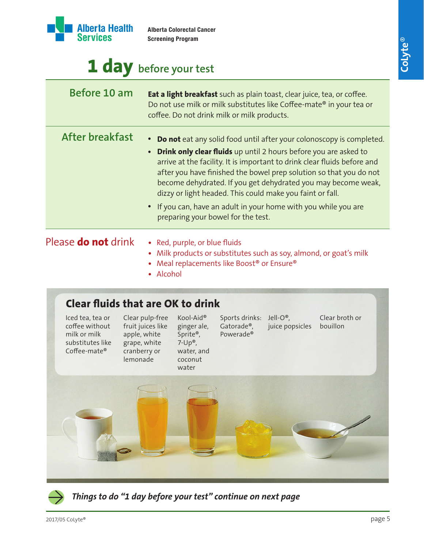

# **1 day before your test**

| Before 10 am    | <b>Eat a light breakfast</b> such as plain toast, clear juice, tea, or coffee.<br>Do not use milk or milk substitutes like Coffee-mate® in your tea or<br>coffee. Do not drink milk or milk products.                                                                                                                                                                                                                                                                                                                                 |
|-----------------|---------------------------------------------------------------------------------------------------------------------------------------------------------------------------------------------------------------------------------------------------------------------------------------------------------------------------------------------------------------------------------------------------------------------------------------------------------------------------------------------------------------------------------------|
| After breakfast | • Do not eat any solid food until after your colonoscopy is completed.<br>• Drink only clear fluids up until 2 hours before you are asked to<br>arrive at the facility. It is important to drink clear fluids before and<br>after you have finished the bowel prep solution so that you do not<br>become dehydrated. If you get dehydrated you may become weak,<br>dizzy or light headed. This could make you faint or fall.<br>• If you can, have an adult in your home with you while you are<br>preparing your bowel for the test. |
|                 |                                                                                                                                                                                                                                                                                                                                                                                                                                                                                                                                       |

## Please **do not** drink

- Red, purple, or blue fluids
- **•** Milk products or substitutes such as soy, almond, or goat's milk
- **•** Meal replacements like Boost® or Ensure®
- Alcohol

## **Clear fluids that are OK to drink**

Iced tea, tea or coffee without milk or milk substitutes like Coffee-mate® Clear pulp-free fruit juices like apple, white grape, white cranberry or lemonade Sports drinks: Jell-O®, Gatorade®, Powerade® Clear broth or juice popsicles bouillon Kool-Aid® ginger ale, Sprite®, 7-Up®, water, and coconut water



*Things to do "1 day before your test" continue on next page*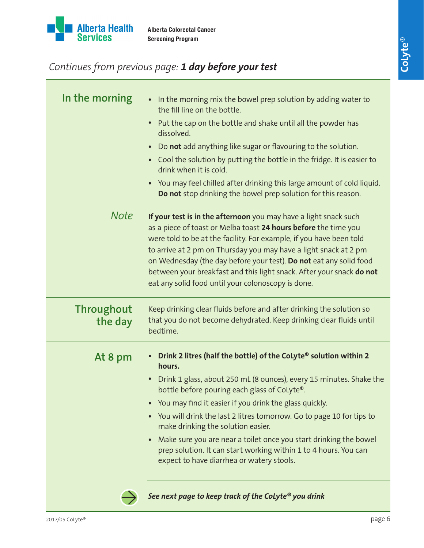

## *Continues from previous page: 1 day before your test*

| In the morning               | • In the morning mix the bowel prep solution by adding water to<br>the fill line on the bottle.                                                                                                                                                                                                                                                                                                                                                                                    |  |  |  |  |
|------------------------------|------------------------------------------------------------------------------------------------------------------------------------------------------------------------------------------------------------------------------------------------------------------------------------------------------------------------------------------------------------------------------------------------------------------------------------------------------------------------------------|--|--|--|--|
|                              | Put the cap on the bottle and shake until all the powder has<br>$\bullet$<br>dissolved.                                                                                                                                                                                                                                                                                                                                                                                            |  |  |  |  |
|                              | Do not add anything like sugar or flavouring to the solution.<br>$\bullet$                                                                                                                                                                                                                                                                                                                                                                                                         |  |  |  |  |
|                              | Cool the solution by putting the bottle in the fridge. It is easier to<br>$\bullet$<br>drink when it is cold.                                                                                                                                                                                                                                                                                                                                                                      |  |  |  |  |
|                              | • You may feel chilled after drinking this large amount of cold liquid.<br>Do not stop drinking the bowel prep solution for this reason.                                                                                                                                                                                                                                                                                                                                           |  |  |  |  |
| <b>Note</b>                  | If your test is in the afternoon you may have a light snack such<br>as a piece of toast or Melba toast 24 hours before the time you<br>were told to be at the facility. For example, if you have been told<br>to arrive at 2 pm on Thursday you may have a light snack at 2 pm<br>on Wednesday (the day before your test). Do not eat any solid food<br>between your breakfast and this light snack. After your snack do not<br>eat any solid food until your colonoscopy is done. |  |  |  |  |
| <b>Throughout</b><br>the day | Keep drinking clear fluids before and after drinking the solution so<br>that you do not become dehydrated. Keep drinking clear fluids until<br>bedtime.                                                                                                                                                                                                                                                                                                                            |  |  |  |  |
| At 8 pm                      | Drink 2 litres (half the bottle) of the CoLyte® solution within 2<br>$\bullet$<br>hours.                                                                                                                                                                                                                                                                                                                                                                                           |  |  |  |  |
|                              | Drink 1 glass, about 250 mL (8 ounces), every 15 minutes. Shake the<br>$\bullet$<br>bottle before pouring each glass of CoLyte®.                                                                                                                                                                                                                                                                                                                                                   |  |  |  |  |
|                              | You may find it easier if you drink the glass quickly.                                                                                                                                                                                                                                                                                                                                                                                                                             |  |  |  |  |
|                              | You will drink the last 2 litres tomorrow. Go to page 10 for tips to<br>make drinking the solution easier.                                                                                                                                                                                                                                                                                                                                                                         |  |  |  |  |
|                              | Make sure you are near a toilet once you start drinking the bowel<br>$\bullet$<br>prep solution. It can start working within 1 to 4 hours. You can<br>expect to have diarrhea or watery stools.                                                                                                                                                                                                                                                                                    |  |  |  |  |
|                              | See next page to keep track of the CoLyte® you drink                                                                                                                                                                                                                                                                                                                                                                                                                               |  |  |  |  |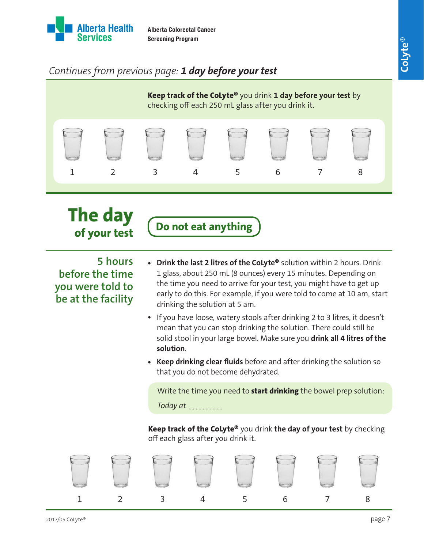

# *Continues from previous page: 1 day before your test*



**5 hours before the time you were told to be at the facility**

- **Drink the last 2 litres of the CoLyte®** solution within 2 hours. Drink **•** 1 glass, about 250 mL (8 ounces) every 15 minutes. Depending on the time you need to arrive for your test, you might have to get up early to do this. For example, if you were told to come at 10 am, start drinking the solution at 5 am.
- If you have loose, watery stools after drinking 2 to 3 litres, it doesn't mean that you can stop drinking the solution. There could still be solid stool in your large bowel. Make sure you **drink all 4 litres of the solution**.
- **Keep drinking clear fluids** before and after drinking the solution so **•** that you do not become dehydrated.

Write the time you need to **start drinking** the bowel prep solution: *Today at* 

**Keep track of the CoLyte®** you drink **the day of your test** by checking off each glass after you drink it.

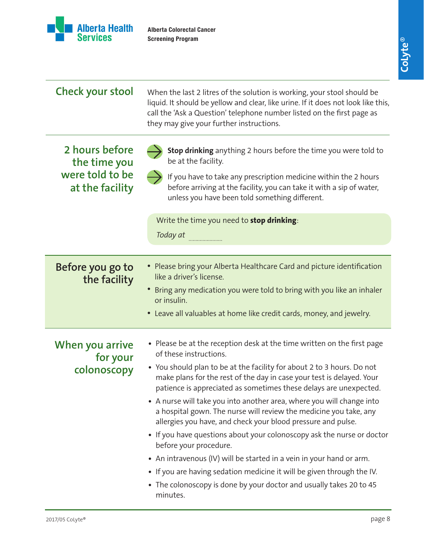

| <b>Check your stool</b>                                              | When the last 2 litres of the solution is working, your stool should be<br>liquid. It should be yellow and clear, like urine. If it does not look like this,<br>call the 'Ask a Question' telephone number listed on the first page as<br>they may give your further instructions.                                                                                                                                                                                                                                                                                                                                                                                                                                                                                                                                                                                               |  |  |  |
|----------------------------------------------------------------------|----------------------------------------------------------------------------------------------------------------------------------------------------------------------------------------------------------------------------------------------------------------------------------------------------------------------------------------------------------------------------------------------------------------------------------------------------------------------------------------------------------------------------------------------------------------------------------------------------------------------------------------------------------------------------------------------------------------------------------------------------------------------------------------------------------------------------------------------------------------------------------|--|--|--|
| 2 hours before<br>the time you<br>were told to be<br>at the facility | Stop drinking anything 2 hours before the time you were told to<br>be at the facility.<br>If you have to take any prescription medicine within the 2 hours<br>before arriving at the facility, you can take it with a sip of water,<br>unless you have been told something different.<br>Write the time you need to <b>stop drinking</b> :<br>Today at <b>www.</b>                                                                                                                                                                                                                                                                                                                                                                                                                                                                                                               |  |  |  |
| Before you go to<br>the facility                                     | • Please bring your Alberta Healthcare Card and picture identification<br>like a driver's license.<br>Bring any medication you were told to bring with you like an inhaler<br>or insulin.<br>• Leave all valuables at home like credit cards, money, and jewelry.                                                                                                                                                                                                                                                                                                                                                                                                                                                                                                                                                                                                                |  |  |  |
| When you arrive<br>for your<br>colonoscopy                           | • Please be at the reception desk at the time written on the first page<br>of these instructions.<br>• You should plan to be at the facility for about 2 to 3 hours. Do not<br>make plans for the rest of the day in case your test is delayed. Your<br>patience is appreciated as sometimes these delays are unexpected.<br>• A nurse will take you into another area, where you will change into<br>a hospital gown. The nurse will review the medicine you take, any<br>allergies you have, and check your blood pressure and pulse.<br>• If you have questions about your colonoscopy ask the nurse or doctor<br>before your procedure.<br>• An intravenous (IV) will be started in a vein in your hand or arm.<br>• If you are having sedation medicine it will be given through the IV.<br>• The colonoscopy is done by your doctor and usually takes 20 to 45<br>minutes. |  |  |  |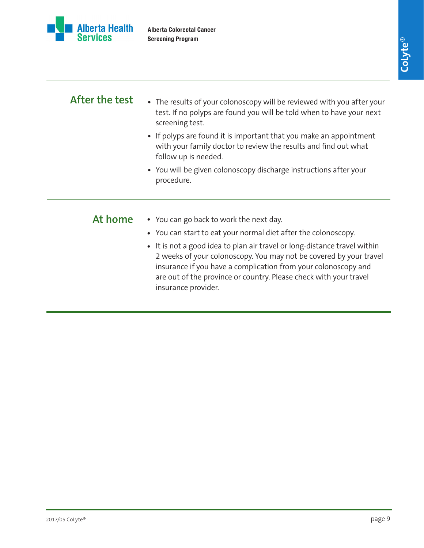

| After the test | • The results of your colonoscopy will be reviewed with you after your<br>test. If no polyps are found you will be told when to have your next<br>screening test.                                                                                                                                             |  |  |
|----------------|---------------------------------------------------------------------------------------------------------------------------------------------------------------------------------------------------------------------------------------------------------------------------------------------------------------|--|--|
|                | • If polyps are found it is important that you make an appointment<br>with your family doctor to review the results and find out what<br>follow up is needed.                                                                                                                                                 |  |  |
|                | • You will be given colonoscopy discharge instructions after your<br>procedure.                                                                                                                                                                                                                               |  |  |
| At home        | • You can go back to work the next day.                                                                                                                                                                                                                                                                       |  |  |
|                | • You can start to eat your normal diet after the colonoscopy.                                                                                                                                                                                                                                                |  |  |
|                | • It is not a good idea to plan air travel or long-distance travel within<br>2 weeks of your colonoscopy. You may not be covered by your travel<br>insurance if you have a complication from your colonoscopy and<br>are out of the province or country. Please check with your travel<br>insurance provider. |  |  |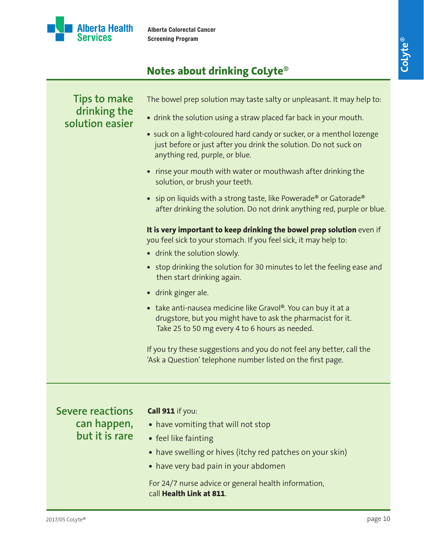

# **CoLyte** ®

## **Tips to make drinking the solution easier Call 911** if you: **•** have vomiting that will not stop **Severe reactions can happen,**  The bowel prep solution may taste salty or unpleasant. It may help to: **•** drink the solution using a straw placed far back in your mouth. **•** suck on a light-coloured hard candy or sucker, or a menthol lozenge just before or just after you drink the solution. Do not suck on anything red, purple, or blue. **•** rinse your mouth with water or mouthwash after drinking the solution, or brush your teeth. **•** sip on liquids with a strong taste, like Powerade® or Gatorade® after drinking the solution. Do not drink anything red, purple or blue. **It is very important to keep drinking the bowel prep solution** even if you feel sick to your stomach. If you feel sick, it may help to: **•** drink the solution slowly. **•** stop drinking the solution for 30 minutes to let the feeling ease and then start drinking again. **•** drink ginger ale. **•** take anti-nausea medicine like Gravol®. You can buy it at a drugstore, but you might have to ask the pharmacist for it. Take 25 to 50 mg every 4 to 6 hours as needed. If you try these suggestions and you do not feel any better, call the 'Ask a Question' telephone number listed on the first page.

- **•** feel like fainting
- have swelling or hives (itchy red patches on your skin)
- **•** have very bad pain in your abdomen

For 24/7 nurse advice or general health information, call **Health Link at 811**.

**but it is rare**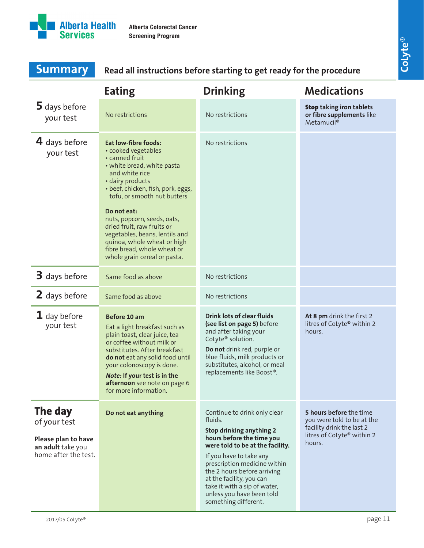

| <b>Summary</b>                                                                              | Read all instructions before starting to get ready for the procedure                                                                                                                                                                                                                                                                                                                                                      |                                                                                                                                                                                                                                                                                                                                                 |                                                                                                                            |  |  |
|---------------------------------------------------------------------------------------------|---------------------------------------------------------------------------------------------------------------------------------------------------------------------------------------------------------------------------------------------------------------------------------------------------------------------------------------------------------------------------------------------------------------------------|-------------------------------------------------------------------------------------------------------------------------------------------------------------------------------------------------------------------------------------------------------------------------------------------------------------------------------------------------|----------------------------------------------------------------------------------------------------------------------------|--|--|
|                                                                                             | <b>Eating</b>                                                                                                                                                                                                                                                                                                                                                                                                             | <b>Drinking</b>                                                                                                                                                                                                                                                                                                                                 | <b>Medications</b>                                                                                                         |  |  |
| 5 days before<br>your test                                                                  | No restrictions                                                                                                                                                                                                                                                                                                                                                                                                           | No restrictions                                                                                                                                                                                                                                                                                                                                 | <b>Stop taking iron tablets</b><br>or fibre supplements like<br>Metamucil <sup>®</sup>                                     |  |  |
| 4 days before<br>your test                                                                  | <b>Eat low-fibre foods:</b><br>• cooked vegetables<br>• canned fruit<br>• white bread, white pasta<br>and white rice<br>• dairy products<br>• beef, chicken, fish, pork, eggs,<br>tofu, or smooth nut butters<br>Do not eat:<br>nuts, popcorn, seeds, oats,<br>dried fruit, raw fruits or<br>vegetables, beans, lentils and<br>quinoa, whole wheat or high<br>fibre bread, whole wheat or<br>whole grain cereal or pasta. | No restrictions                                                                                                                                                                                                                                                                                                                                 |                                                                                                                            |  |  |
| 3 days before                                                                               | Same food as above                                                                                                                                                                                                                                                                                                                                                                                                        | No restrictions                                                                                                                                                                                                                                                                                                                                 |                                                                                                                            |  |  |
| 2 days before                                                                               | Same food as above                                                                                                                                                                                                                                                                                                                                                                                                        | No restrictions                                                                                                                                                                                                                                                                                                                                 |                                                                                                                            |  |  |
| $\mathbf 1$ day before<br>your test                                                         | Before 10 am<br>Eat a light breakfast such as<br>plain toast, clear juice, tea<br>or coffee without milk or<br>substitutes. After breakfast<br>do not eat any solid food until<br>your colonoscopy is done.<br>Note: If your test is in the<br>afternoon see note on page 6<br>for more information.                                                                                                                      | <b>Drink lots of clear fluids</b><br>(see list on page 5) before<br>and after taking your<br>CoLyte® solution.<br>Do not drink red, purple or<br>blue fluids, milk products or<br>substitutes, alcohol, or meal<br>replacements like Boost®.                                                                                                    | At 8 pm drink the first 2<br>litres of CoLyte® within 2<br>hours.                                                          |  |  |
| The day<br>of your test<br>Please plan to have<br>an adult take you<br>home after the test. | Do not eat anything                                                                                                                                                                                                                                                                                                                                                                                                       | Continue to drink only clear<br>fluids.<br>Stop drinking anything 2<br>hours before the time you<br>were told to be at the facility.<br>If you have to take any<br>prescription medicine within<br>the 2 hours before arriving<br>at the facility, you can<br>take it with a sip of water,<br>unless you have been told<br>something different. | 5 hours before the time<br>you were told to be at the<br>facility drink the last 2<br>litres of CoLyte® within 2<br>hours. |  |  |